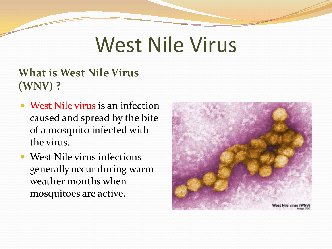# West Nile Virus

#### **What is West Nile Virus (WNV) ?**

- West Nile virus is an infection caused and spread by the bite of a mosquito infected with the virus.
- West Nile virus infections generally occur during warm weather months when mosquitoes are active.

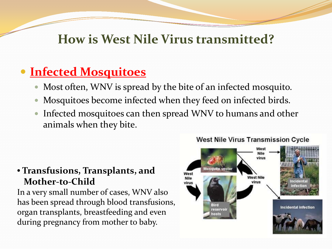#### **How is West Nile Virus transmitted?**

## **Infected Mosquitoes**

- Most often, WNV is spread by the bite of an infected mosquito.
- Mosquitoes become infected when they feed on infected birds.
- Infected mosquitoes can then spread WNV to humans and other animals when they bite.

#### • **Transfusions, Transplants, and Mother-to-Child**

In a very small number of cases, WNV also has been spread through blood transfusions, organ transplants, breastfeeding and even during pregnancy from mother to baby.



#### **West Nile Virus Transmission Cycle**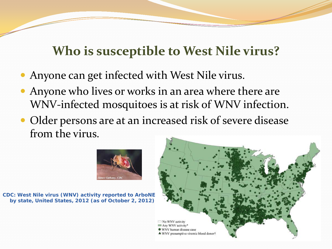## **Who is susceptible to West Nile virus?**

- Anyone can get infected with West Nile virus.
- Anyone who lives or works in an area where there are WNV-infected mosquitoes is at risk of WNV infection.
- Older persons are at an increased risk of severe disease from the virus.



**CDC: West Nile virus (WNV) activity reported to ArboNE by state, United States, 2012 (as of October 2, 2012)**

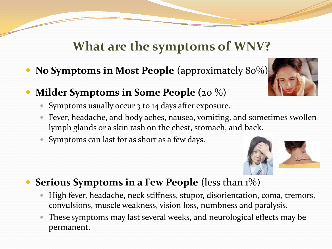#### **What are the symptoms of WNV?**

- **No Symptoms in Most People** (approximately 80%)
- **Milder Symptoms in Some People (**20 %)
	- Symptoms usually occur 3 to 14 days after exposure.
	- Fever, headache, and body aches, nausea, vomiting, and sometimes swollen lymph glands or a skin rash on the chest, stomach, and back.
	- Symptoms can last for as short as a few days.



- High fever, headache, neck stiffness, stupor, disorientation, coma, tremors, convulsions, muscle weakness, vision loss, numbness and paralysis.
- These symptoms may last several weeks, and neurological effects may be permanent.



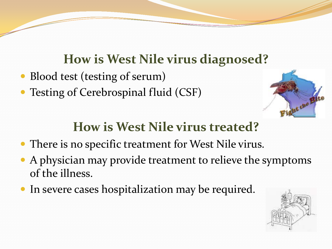#### **How is West Nile virus diagnosed?**

- Blood test (testing of serum)
- Testing of Cerebrospinal fluid (CSF)



## **How is West Nile virus treated?**

- There is no specific treatment for West Nile virus.
- A physician may provide treatment to relieve the symptoms of the illness.
- In severe cases hospitalization may be required.